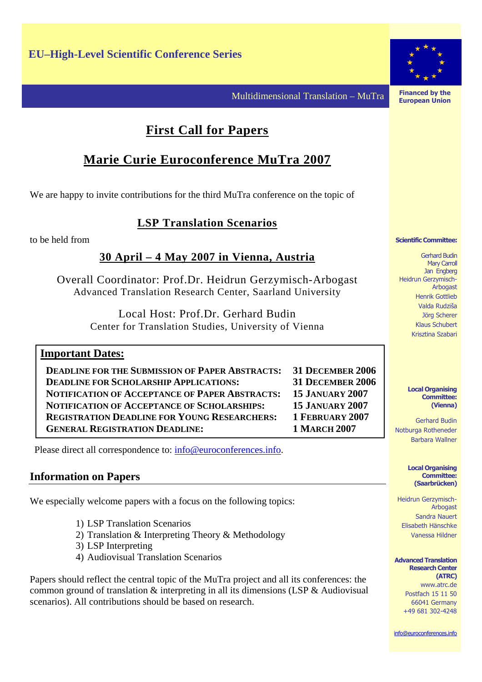

Financed by the European Union

### Multidimensional Translation – MuTra

# **First Call for Papers**

# **Marie Curie Euroconference MuTra 2007**

We are happy to invite contributions for the third MuTra conference on the topic of

# **LSP Translation Scenarios**

to be held from

## **30 April – 4 May 2007 in Vienna, Austria**

Overall Coordinator: Prof.Dr. Heidrun Gerzymisch-Arbogast Advanced Translation Research Center, Saarland University

> Local Host: Prof.Dr. Gerhard Budin Center for Translation Studies, University of Vienna

### **Important Dates:**

**DEADLINE FOR THE SUBMISSION OF PAPER ABSTRACTS: 31 DECEMBER 2006 DEADLINE FOR SCHOLARSHIP APPLICATIONS: 31 DECEMBER 2006 NOTIFICATION OF ACCEPTANCE OF PAPER ABSTRACTS: 15 JANUARY 2007 NOTIFICATION OF ACCEPTANCE OF SCHOLARSHIPS: 15 JANUARY 2007 REGISTRATION DEADLINE FOR YOUNG RESEARCHERS: 1 FEBRUARY 2007 GENERAL REGISTRATION DEADLINE: 1 MARCH 2007** 

Please direct all correspondence to: info@euroconferences.info.

### **Information on Papers**

We especially welcome papers with a focus on the following topics:

- 1) LSP Translation Scenarios
- 2) Translation & Interpreting Theory & Methodology
- 3) LSP Interpreting
- 4) Audiovisual Translation Scenarios

Papers should reflect the central topic of the MuTra project and all its conferences: the common ground of translation & interpreting in all its dimensions (LSP & Audiovisual scenarios). All contributions should be based on research.

# Scientific Committee:

Gerhard Budin Mary Carroll Jan Engberg Heidrun Gerzymisch-Arbogast Henrik Gottlieb Valda Rudziša Jörg Scherer Klaus Schubert Krisztina Szabari

#### Local Organising Committee: (Vienna)

Gerhard Budin Notburga Rotheneder Barbara Wallner

#### Local Organising Committee: (Saarbrücken)

Heidrun Gerzymisch-Arbogast Sandra Nauert Elisabeth Hänschke Vanessa Hildner

#### Advanced Translation Research Center

(ATRC) www.atrc.de Postfach 15 11 50 66041 Germany +49 681 302-4248

info@euroconferences.info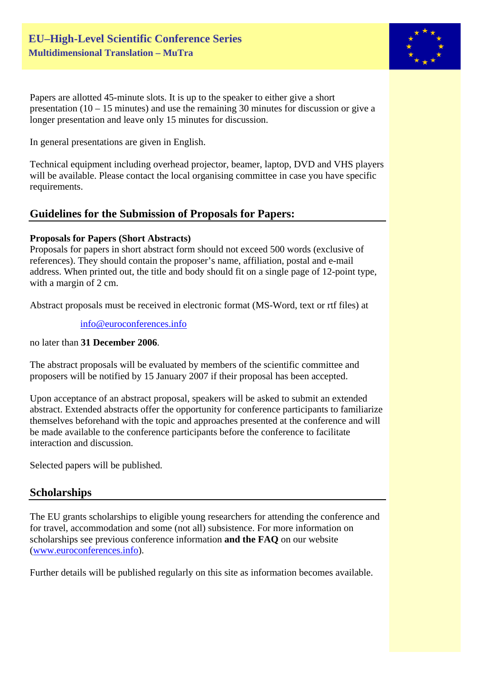

Papers are allotted 45-minute slots. It is up to the speaker to either give a short presentation (10 – 15 minutes) and use the remaining 30 minutes for discussion or give a longer presentation and leave only 15 minutes for discussion.

In general presentations are given in English.

Technical equipment including overhead projector, beamer, laptop, DVD and VHS players will be available. Please contact the local organising committee in case you have specific requirements.

# **Guidelines for the Submission of Proposals for Papers:**

### **Proposals for Papers (Short Abstracts)**

Proposals for papers in short abstract form should not exceed 500 words (exclusive of references). They should contain the proposer's name, affiliation, postal and e-mail address. When printed out, the title and body should fit on a single page of 12-point type, with a margin of 2 cm.

Abstract proposals must be received in electronic format (MS-Word, text or rtf files) at

### info@euroconferences.info

no later than **31 December 2006**.

The abstract proposals will be evaluated by members of the scientific committee and proposers will be notified by 15 January 2007 if their proposal has been accepted.

Upon acceptance of an abstract proposal, speakers will be asked to submit an extended abstract. Extended abstracts offer the opportunity for conference participants to familiarize themselves beforehand with the topic and approaches presented at the conference and will be made available to the conference participants before the conference to facilitate interaction and discussion.

Selected papers will be published.

## **Scholarships**

The EU grants scholarships to eligible young researchers for attending the conference and for travel, accommodation and some (not all) subsistence. For more information on scholarships see previous conference information **and the FAQ** on our website (www.euroconferences.info).

Further details will be published regularly on this site as information becomes available.